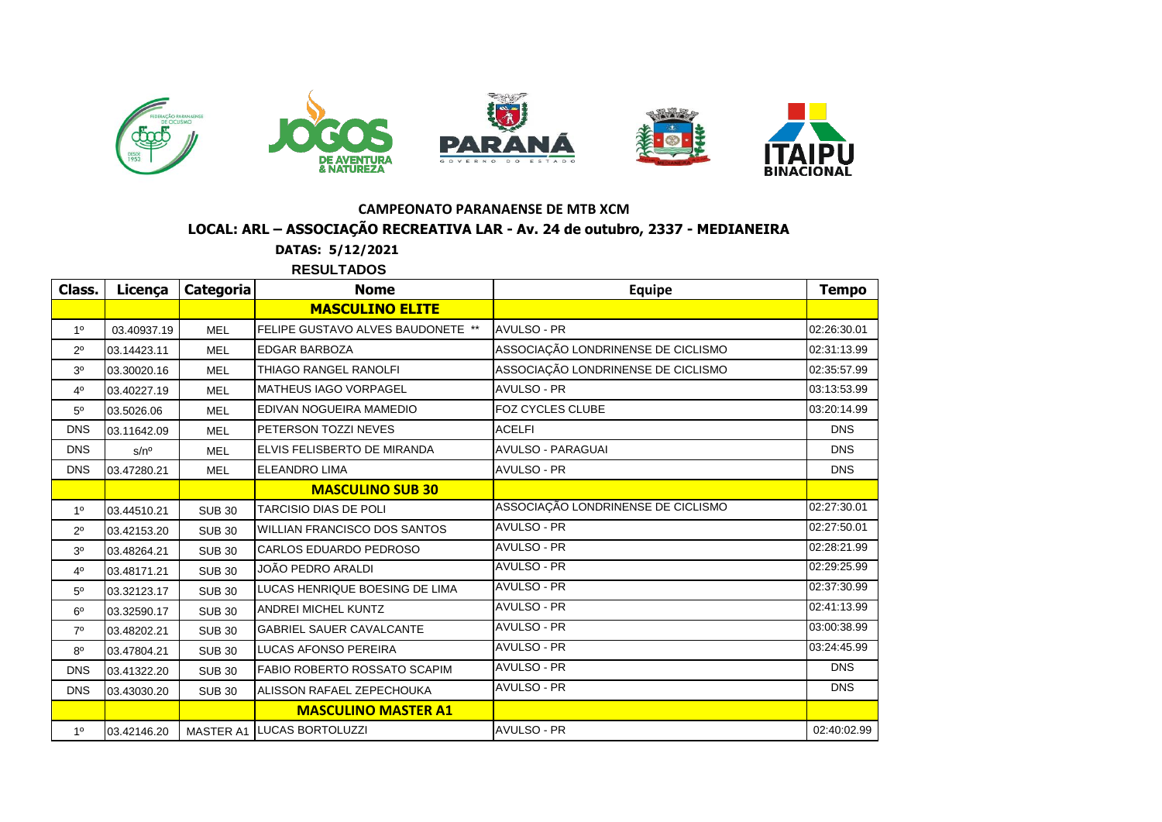

## **LOCAL: ARL – ASSOCIAÇÃO RECREATIVA LAR - Av. 24 de outubro, 2337 - MEDIANEIRA CAMPEONATO PARANAENSE DE MTB XCM**

**DATAS: 5/12/2021** *<u>DESULTADOS</u>* 

|                | NEJULI ADUJ   |                  |                                     |                                    |              |  |  |  |
|----------------|---------------|------------------|-------------------------------------|------------------------------------|--------------|--|--|--|
| Class.         | Licença       | <b>Categoria</b> | <b>Nome</b>                         | <b>Equipe</b>                      | <b>Tempo</b> |  |  |  |
|                |               |                  | <b>MASCULINO ELITE</b>              |                                    |              |  |  |  |
| 1 <sup>0</sup> | 03.40937.19   | <b>MEL</b>       | FELIPE GUSTAVO ALVES BAUDONETE **   | <b>AVULSO - PR</b>                 | 02:26:30.01  |  |  |  |
| $2^{\circ}$    | 03.14423.11   | <b>MEL</b>       | <b>EDGAR BARBOZA</b>                | ASSOCIAÇÃO LONDRINENSE DE CICLISMO | 02:31:13.99  |  |  |  |
| 3 <sup>o</sup> | 03.30020.16   | <b>MEL</b>       | THIAGO RANGEL RANOLFI               | ASSOCIAÇÃO LONDRINENSE DE CICLISMO | 02:35:57.99  |  |  |  |
| 40             | 03.40227.19   | <b>MEL</b>       | <b>MATHEUS IAGO VORPAGEL</b>        | <b>AVULSO - PR</b>                 | 03:13:53.99  |  |  |  |
| $5^{\circ}$    | 03.5026.06    | <b>MEL</b>       | EDIVAN NOGUEIRA MAMEDIO             | FOZ CYCLES CLUBE                   | 03:20:14.99  |  |  |  |
| <b>DNS</b>     | 03.11642.09   | <b>MEL</b>       | PETERSON TOZZI NEVES                | <b>ACELFI</b>                      | <b>DNS</b>   |  |  |  |
| <b>DNS</b>     | $s/n^{\circ}$ | <b>MEL</b>       | ELVIS FELISBERTO DE MIRANDA         | <b>AVULSO - PARAGUAI</b>           | <b>DNS</b>   |  |  |  |
| <b>DNS</b>     | 03.47280.21   | <b>MEL</b>       | <b>ELEANDRO LIMA</b>                | <b>AVULSO - PR</b>                 | <b>DNS</b>   |  |  |  |
|                |               |                  | <b>MASCULINO SUB 30</b>             |                                    |              |  |  |  |
| 1 <sup>0</sup> | 03.44510.21   | <b>SUB 30</b>    | <b>TARCISIO DIAS DE POLI</b>        | ASSOCIAÇÃO LONDRINENSE DE CICLISMO | 02:27:30.01  |  |  |  |
| $2^{\circ}$    | 03.42153.20   | <b>SUB 30</b>    | <b>WILLIAN FRANCISCO DOS SANTOS</b> | <b>AVULSO - PR</b>                 | 02:27:50.01  |  |  |  |
| 3 <sup>o</sup> | 03.48264.21   | <b>SUB 30</b>    | CARLOS EDUARDO PEDROSO              | <b>AVULSO - PR</b>                 | 02:28:21.99  |  |  |  |
| 4 <sup>0</sup> | 03.48171.21   | <b>SUB 30</b>    | JOÃO PEDRO ARALDI                   | AVULSO - PR                        | 02:29:25.99  |  |  |  |
| $5^{\circ}$    | 03.32123.17   | <b>SUB 30</b>    | LUCAS HENRIQUE BOESING DE LIMA      | <b>AVULSO - PR</b>                 | 02:37:30.99  |  |  |  |
| $6^{\circ}$    | 03.32590.17   | <b>SUB 30</b>    | ANDREI MICHEL KUNTZ                 | AVULSO - PR                        | 02:41:13.99  |  |  |  |
| $7^\circ$      | 03.48202.21   | <b>SUB 30</b>    | <b>GABRIEL SAUER CAVALCANTE</b>     | <b>AVULSO - PR</b>                 | 03:00:38.99  |  |  |  |
| $8^{\circ}$    | 03.47804.21   | <b>SUB 30</b>    | LUCAS AFONSO PEREIRA                | <b>AVULSO - PR</b>                 | 03:24:45.99  |  |  |  |
| <b>DNS</b>     | 03.41322.20   | <b>SUB 30</b>    | FABIO ROBERTO ROSSATO SCAPIM        | AVULSO - PR                        | <b>DNS</b>   |  |  |  |
| <b>DNS</b>     | 03.43030.20   | <b>SUB 30</b>    | ALISSON RAFAEL ZEPECHOUKA           | <b>AVULSO - PR</b>                 | <b>DNS</b>   |  |  |  |
|                |               |                  | <b>MASCULINO MASTER A1</b>          |                                    |              |  |  |  |
| 1 <sup>0</sup> | 03.42146.20   |                  | MASTER A1 LUCAS BORTOLUZZI          | AVULSO - PR                        | 02:40:02.99  |  |  |  |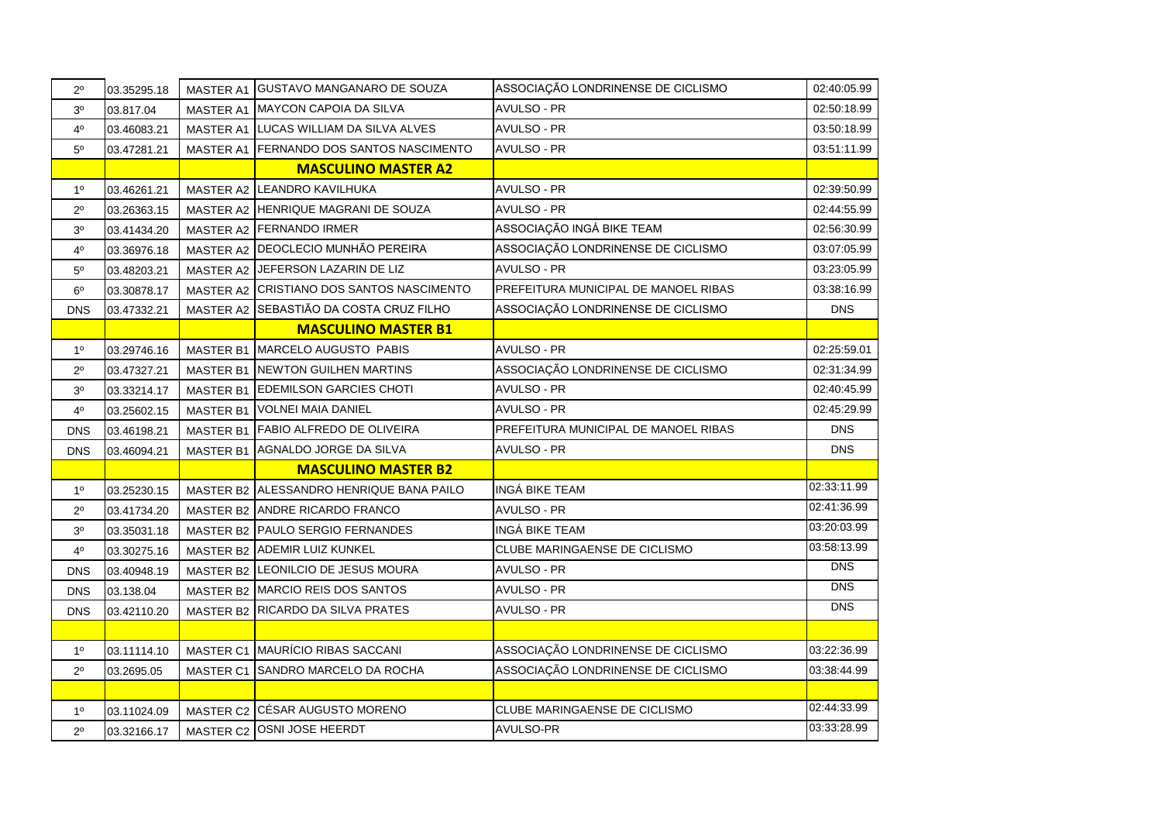| $2^{\circ}$    | 03.35295.18 | MASTER A1        | <b>GUSTAVO MANGANARO DE SOUZA</b>         | ASSOCIAÇÃO LONDRINENSE DE CICLISMO   | 02:40:05.99 |
|----------------|-------------|------------------|-------------------------------------------|--------------------------------------|-------------|
| 3 <sup>o</sup> | 03.817.04   | <b>MASTER A1</b> | <b>MAYCON CAPOIA DA SILVA</b>             | <b>AVULSO - PR</b>                   | 02:50:18.99 |
| 4 <sup>0</sup> | 03.46083.21 |                  | MASTER A1 LUCAS WILLIAM DA SILVA ALVES    | <b>AVULSO - PR</b>                   | 03:50:18.99 |
| $5^{\circ}$    | 03.47281.21 | <b>MASTER A1</b> | FERNANDO DOS SANTOS NASCIMENTO            | <b>AVULSO - PR</b>                   | 03:51:11.99 |
|                |             |                  | <b>MASCULINO MASTER A2</b>                |                                      |             |
| $1^{\circ}$    | 03.46261.21 | <b>MASTER A2</b> | LEANDRO KAVILHUKA                         | AVULSO - PR                          | 02:39:50.99 |
| $2^{\circ}$    | 03.26363.15 |                  | MASTER A2 HENRIQUE MAGRANI DE SOUZA       | <b>AVULSO - PR</b>                   | 02:44:55.99 |
| 3 <sup>o</sup> | 03.41434.20 |                  | MASTER A2 FERNANDO IRMER                  | ASSOCIAÇÃO INGÁ BIKE TEAM            | 02:56:30.99 |
| 4°             | 03.36976.18 |                  | MASTER A2 DEOCLECIO MUNHÃO PEREIRA        | ASSOCIAÇÃO LONDRINENSE DE CICLISMO   | 03:07:05.99 |
| $5^{\circ}$    | 03.48203.21 |                  | MASTER A2 JEFERSON LAZARIN DE LIZ         | <b>AVULSO - PR</b>                   | 03:23:05.99 |
| $6^{\circ}$    | 03.30878.17 |                  | MASTER A2 CRISTIANO DOS SANTOS NASCIMENTO | PREFEITURA MUNICIPAL DE MANOEL RIBAS | 03:38:16.99 |
| <b>DNS</b>     | 03.47332.21 |                  | MASTER A2 SEBASTIÃO DA COSTA CRUZ FILHO   | ASSOCIAÇÃO LONDRINENSE DE CICLISMO   | <b>DNS</b>  |
|                |             |                  | <b>MASCULINO MASTER B1</b>                |                                      |             |
| $1^{\circ}$    | 03.29746.16 | <b>MASTER B1</b> | <b>MARCELO AUGUSTO PABIS</b>              | <b>AVULSO - PR</b>                   | 02:25:59.01 |
| $2^{\circ}$    | 03.47327.21 |                  | MASTER B1 NEWTON GUILHEN MARTINS          | ASSOCIAÇÃO LONDRINENSE DE CICLISMO   | 02:31:34.99 |
| 3 <sup>o</sup> | 03.33214.17 |                  | MASTER B1 EDEMILSON GARCIES CHOTI         | <b>AVULSO - PR</b>                   | 02:40:45.99 |
| $4^{\circ}$    | 03.25602.15 |                  | MASTER B1 VOLNEI MAIA DANIEL              | <b>AVULSO - PR</b>                   | 02:45:29.99 |
| <b>DNS</b>     | 03.46198.21 |                  | MASTER B1 FABIO ALFREDO DE OLIVEIRA       | PREFEITURA MUNICIPAL DE MANOEL RIBAS | <b>DNS</b>  |
| <b>DNS</b>     | 03.46094.21 |                  | MASTER B1 AGNALDO JORGE DA SILVA          | AVULSO - PR                          | <b>DNS</b>  |
|                |             |                  | <b>MASCULINO MASTER B2</b>                |                                      |             |
| $1^{\rm o}$    | 03.25230.15 | <b>MASTER B2</b> | ALESSANDRO HENRIQUE BANA PAILO            | INGÁ BIKE TEAM                       | 02:33:11.99 |
| $2^{\circ}$    | 03.41734.20 |                  | MASTER B2 ANDRE RICARDO FRANCO            | AVULSO - PR                          | 02:41:36.99 |
| 3 <sup>o</sup> | 03.35031.18 |                  | MASTER B2 PAULO SERGIO FERNANDES          | INGÁ BIKE TEAM                       | 03:20:03.99 |
| $4^{\circ}$    | 03.30275.16 |                  | MASTER B2 ADEMIR LUIZ KUNKEL              | CLUBE MARINGAENSE DE CICLISMO        | 03:58:13.99 |
| <b>DNS</b>     | 03.40948.19 |                  | MASTER B2 LEONILCIO DE JESUS MOURA        | AVULSO - PR                          | <b>DNS</b>  |
| <b>DNS</b>     | 03.138.04   |                  | MASTER B2 MARCIO REIS DOS SANTOS          | AVULSO - PR                          | <b>DNS</b>  |
| <b>DNS</b>     | 03.42110.20 |                  | MASTER B2 RICARDO DA SILVA PRATES         | AVULSO - PR                          | <b>DNS</b>  |
|                |             |                  |                                           |                                      |             |
| $1^{\circ}$    | 03.11114.10 |                  | MASTER C1 MAURÍCIO RIBAS SACCANI          | ASSOCIAÇÃO LONDRINENSE DE CICLISMO   | 03:22:36.99 |
| $2^{\circ}$    | 03.2695.05  |                  | MASTER C1 SANDRO MARCELO DA ROCHA         | ASSOCIAÇÃO LONDRINENSE DE CICLISMO   | 03:38:44.99 |
|                |             |                  |                                           |                                      |             |
| $1^{\circ}$    | 03.11024.09 |                  | MASTER C2 CÉSAR AUGUSTO MORENO            | CLUBE MARINGAENSE DE CICLISMO        | 02:44:33.99 |
| $2^{\circ}$    | 03.32166.17 | MASTER C2        | OSNI JOSE HEERDT                          | <b>AVULSO-PR</b>                     | 03:33:28.99 |